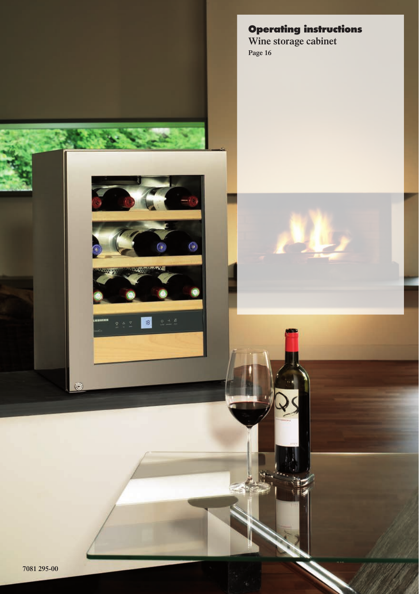**Operating instructions Wine storage cabinet Page 16**

G

18

 $\odot$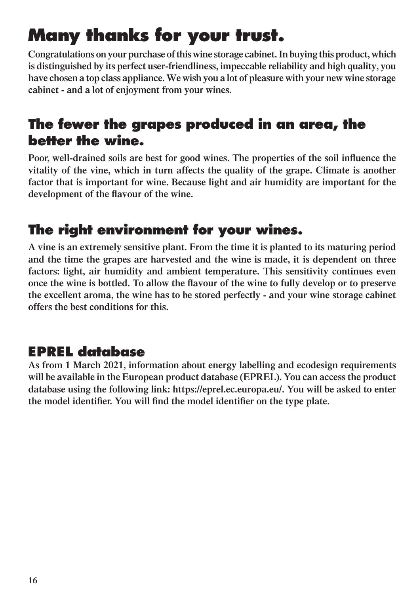## **Many thanks for your trust.**

**Congratulations on your purchase of this wine storage cabinet. In buying this product, which is distinguished by its perfect user-friendliness, impeccable reliability and high quality, you have chosen a top class appliance. We wish you a lot of pleasure with your new wine storage cabinet - and a lot of enjoyment from your wines.**

### **The fewer the grapes produced in an area, the better the wine.**

**Poor, well-drained soils are best for good wines. The properties of the soil influence the vitality of the vine, which in turn affects the quality of the grape. Climate is another factor that is important for wine. Because light and air humidity are important for the development of the flavour of the wine.**

### **The right environment for your wines.**

**A vine is an extremely sensitive plant. From the time it is planted to its maturing period and the time the grapes are harvested and the wine is made, it is dependent on three factors: light, air humidity and ambient temperature. This sensitivity continues even once the wine is bottled. To allow the flavour of the wine to fully develop or to preserve the excellent aroma, the wine has to be stored perfectly - and your wine storage cabinet offers the best conditions for this.**

### **EPREL database**

**As from 1 March 2021, information about energy labelling and ecodesign requirements will be available in the European product database (EPREL). You can access the product database using the following link: https://eprel.ec.europa.eu/. You will be asked to enter the model identifier. You will find the model identifier on the type plate.**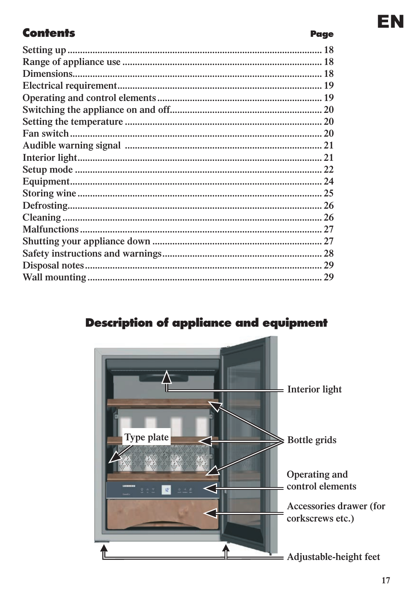#### **Contents**

#### **Description of appliance and equipment**



**Page**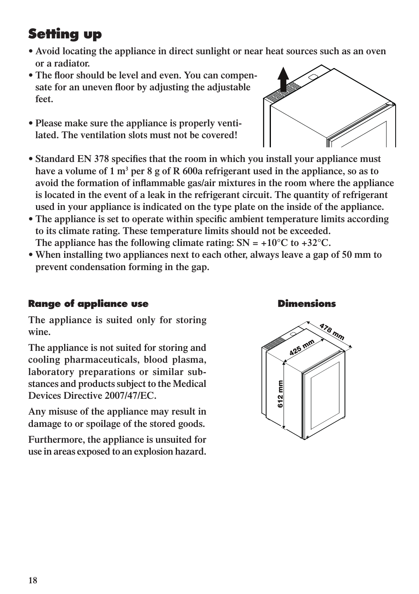### **Setting up**

- **• Avoid locating the appliance in direct sunlight or near heat sources such as an oven or a radiator.**
- **• The floor should be level and even. You can compensate for an uneven floor by adjusting the adjustable feet.**
- **• Please make sure the appliance is properly ventilated. The ventilation slots must not be covered!**
- **• Standard EN 378 specifies that the room in which you install your appliance must have a volume of 1 m3 per 8 g of R 600a refrigerant used in the appliance, so as to avoid the formation of inflammable gas/air mixtures in the room where the appliance is located in the event of a leak in the refrigerant circuit. The quantity of refrigerant used in your appliance is indicated on the type plate on the inside of the appliance.**
- **• The appliance is set to operate within specific ambient temperature limits according to its climate rating. These temperature limits should not be exceeded.**  The appliance has the following climate rating:  $SN = +10^{\circ}C$  to  $+32^{\circ}C$ .
- **• When installing two appliances next to each other, always leave a gap of 50 mm to prevent condensation forming in the gap.**

#### **Range of appliance use Dimensions**

**The appliance is suited only for storing wine.** 

**The appliance is not suited for storing and cooling pharmaceuticals, blood plasma, laboratory preparations or similar substances and products subject to the Medical Devices Directive 2007/47/EC.** 

**Any misuse of the appliance may result in damage to or spoilage of the stored goods.** 

**Furthermore, the appliance is unsuited for use in areas exposed to an explosion hazard.**



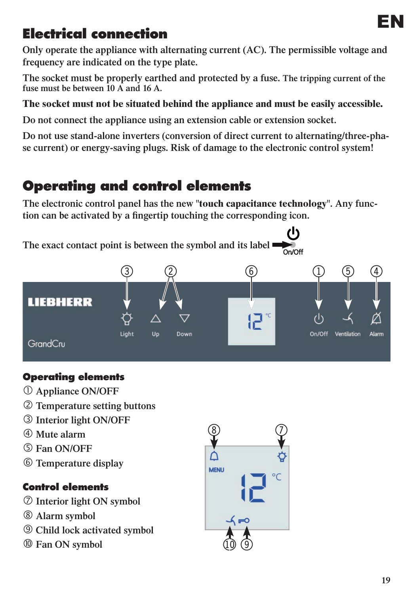### **Electrical connection**

**Only operate the appliance with alternating current (AC). The permissible voltage and frequency are indicated on the type plate.**

**The socket must be properly earthed and protected by a fuse. The tripping current of the fuse must be between 10 A and 16 A.**

#### **The socket must not be situated behind the appliance and must be easily accessible.**

**Do not connect the appliance using an extension cable or extension socket.**

**Do not use stand-alone inverters (conversion of direct current to alternating/three-phase current) or energy-saving plugs. Risk of damage to the electronic control system!**

### **Operating and control elements**

**The electronic control panel has the new "touch capacitance technology". Any function can be activated by a fingertip touching the corresponding icon.**



#### **Operating elements**

- **Appliance ON/OFF**
- **Temperature setting buttons**
- **Interior light ON/OFF**
- **Mute alarm**
- **Fan ON/OFF**
- **Temperature display**

#### **Control elements**

- **Interior light ON symbol**
- **Alarm symbol**
- **Child lock activated symbol**
- **Fan ON symbol**

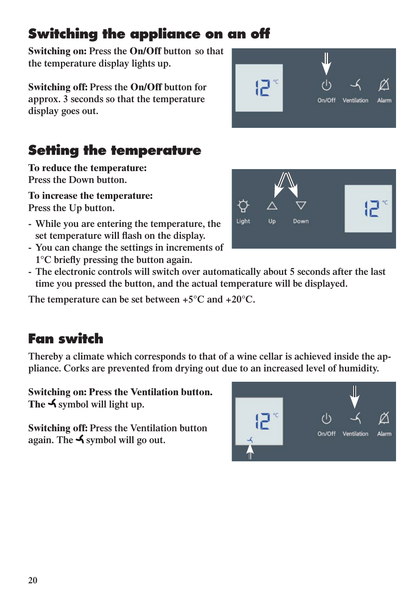### **Switching the appliance on an off**

**Switching on: Press the On/Off button so that the temperature display lights up.**

**Switching off: Press the On/Off button for approx. 3 seconds so that the temperature display goes out.**

### **Setting the temperature**

**To reduce the temperature: Press the Down button.**

**To increase the temperature: Press the Up button.**

- **While you are entering the temperature, the set temperature will flash on the display.**
- **You can change the settings in increments of 1°C briefly pressing the button again.**
- **The electronic controls will switch over automatically about 5 seconds after the last time you pressed the button, and the actual temperature will be displayed.**

**The temperature can be set between +5°C and +20°C.**

### **Fan switch**

**Thereby a climate which corresponds to that of a wine cellar is achieved inside the appliance. Corks are prevented from drying out due to an increased level of humidity.** 

**Switching on: Press the Ventilation button.**  The **√** symbol will light up.

**Switching off: Press the Ventilation button again. The symbol will go out.**





On/Off

Ventilation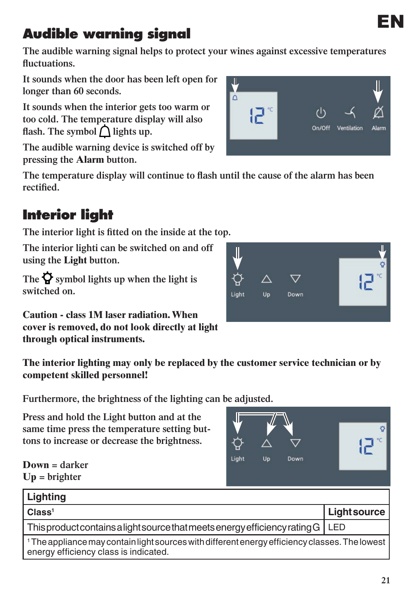**21**

ö

### **Audible warning signal**

**The audible warning signal helps to protect your wines against excessive temperatures fluctuations.**

**It sounds when the door has been left open for longer than 60 seconds.**

**It sounds when the interior gets too warm or too cold. The temperature display will also**  flash. The symbol  $\bigcap$  lights up.

**The audible warning device is switched off by pressing the Alarm button.** 

**The temperature display will continue to flash until the cause of the alarm has been rectified.** 

### **Interior light**

**The interior light is fitted on the inside at the top.**

**The interior lighti can be switched on and off using the Light button.**

The  $\overline{Q}$  symbol lights up when the light is **switched on.**

**Caution - class 1M laser radiation. When cover is removed, do not look directly at light through optical instruments.** 

**The interior lighting may only be replaced by the customer service technician or by competent skilled personnel!**

**Furthermore, the brightness of the lighting can be adjusted.**

**Press and hold the Light button and at the same time press the temperature setting buttons to increase or decrease the brightness.** 

| $Down = darker$ |
|-----------------|
| $Up = brighter$ |

| Lighting                                                                                                                                           |             |  |
|----------------------------------------------------------------------------------------------------------------------------------------------------|-------------|--|
| Class <sup>1</sup>                                                                                                                                 | Lightsource |  |
| This product contains a light source that meets energy efficiency rating G   LED                                                                   |             |  |
| <sup>1</sup> The appliance may contain light sources with different energy efficiency classes. The lowest<br>energy efficiency class is indicated. |             |  |

Light

**Up** 

Down



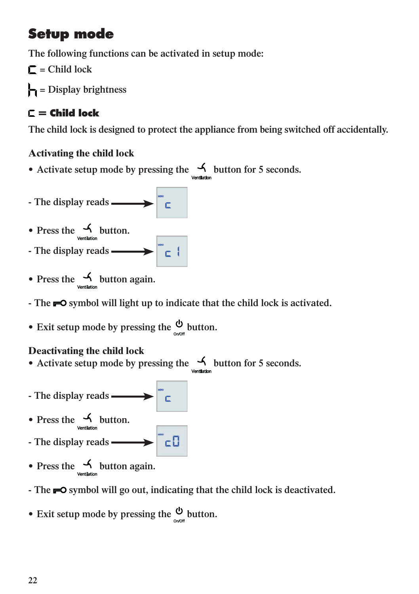### **Setup mode**

**The following functions can be activated in setup mode:**

**= Child lock**

**= Display brightness**

### $C =$  Child lock

**The child lock is designed to protect the appliance from being switched off accidentally.**

#### **Activating the child lock**

- Activate setup mode by pressing the  $\frac{1}{2}$  button for 5 seconds.
- The display reads  $\longrightarrow$
- Press the **6** button.
- **The display reads**
- Press the **4** button again.
- **The**  $\blacksquare$  symbol will light up to indicate that the child lock is activated.
- Exit setup mode by pressing the  $\circledcirc$  button.

#### **Deactivating the child lock**

- Activate setup mode by pressing the **4** button for 5 seconds.
- The display reads **Fig. 2.1.** • Press the  $\frac{1}{\sqrt{2}}$  button. - The display reads **- All the Set of Set of Set of Set of Set of Set of Set of Set of Set of Set of Set of Set of Set of Set of Set of Set of Set of Set of Set of Set of Set of Set of Set of Set of Set of Set of Set of Se**
- Press the  $\frac{1}{\sqrt{\frac{1}{\text{Perilation}}}}$  button again.
- **The**  $\blacksquare$  symbol will go out, indicating that the child lock is deactivated.
- Exit setup mode by pressing the  $\frac{0}{2}$  button.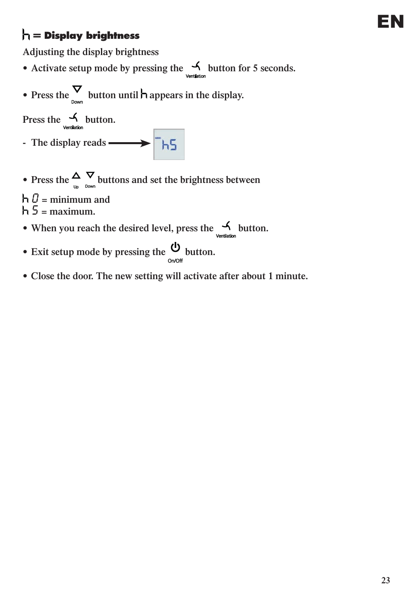### **= Display brightness**

**Adjusting the display brightness**

- Activate setup mode by pressing the **4** button for 5 seconds.
- Press the  $\sum_{n=1}^{\infty}$  button until **h** appears in the display.

Press the  $\frac{1}{\sqrt{\frac{1}{\text{Vertidition}}}}$  button.

- The display reads  **ALLANG**
- Press the  $\frac{\Delta}{\Delta}$  **v** buttons and set the brightness between

 $h \theta$  = minimum and  $h = \text{maximum}$ .

- When you reach the desired level, press the  $\frac{1}{2}$  button.
- Exit setup mode by pressing the  $\mathcal{Q}_{\text{b}}$  button.
- **• Close the door. The new setting will activate after about 1 minute.**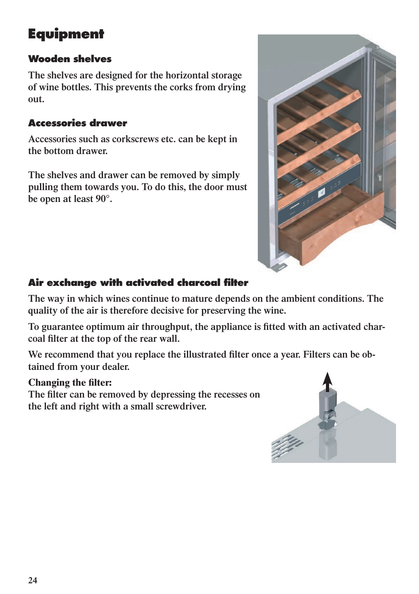### **Equipment**

#### **Wooden shelves**

**The shelves are designed for the horizontal storage of wine bottles. This prevents the corks from drying out.**

#### **Accessories drawer**

**Accessories such as corkscrews etc. can be kept in the bottom drawer.**

**The shelves and drawer can be removed by simply pulling them towards you. To do this, the door must be open at least 90°.**



#### **Air exchange with activated charcoal filter**

**The way in which wines continue to mature depends on the ambient conditions. The quality of the air is therefore decisive for preserving the wine.**

**To guarantee optimum air throughput, the appliance is fitted with an activated charcoal filter at the top of the rear wall.** 

We recommend that you replace the illustrated filter once a year. Filters can be ob**tained from your dealer.** 

#### **Changing the filter:**

**The filter can be removed by depressing the recesses on the left and right with a small screwdriver.**

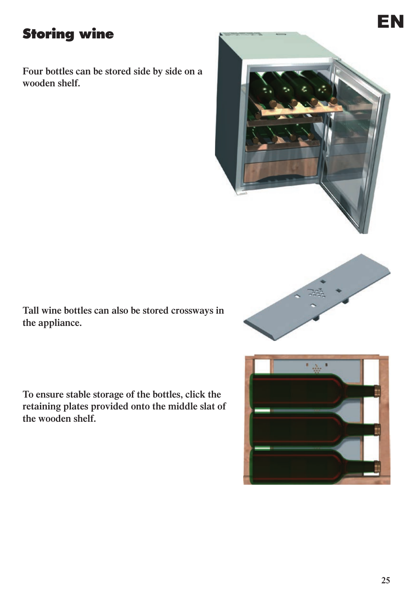**Four bottles can be stored side by side on a wooden shelf.**



**Tall wine bottles can also be stored crossways in the appliance.**



**To ensure stable storage of the bottles, click the retaining plates provided onto the middle slat of the wooden shelf.**

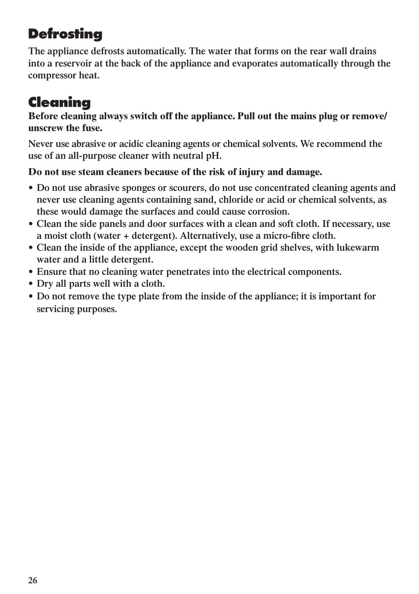### **Defrosting**

**The appliance defrosts automatically. The water that forms on the rear wall drains into a reservoir at the back of the appliance and evaporates automatically through the compressor heat.** 

### **Cleaning**

**Before cleaning always switch off the appliance. Pull out the mains plug or remove/ unscrew the fuse.** 

**Never use abrasive or acidic cleaning agents or chemical solvents. We recommend the use of an all-purpose cleaner with neutral pH.** 

#### **Do not use steam cleaners because of the risk of injury and damage.**

- **• Do not use abrasive sponges or scourers, do not use concentrated cleaning agents and never use cleaning agents containing sand, chloride or acid or chemical solvents, as these would damage the surfaces and could cause corrosion.**
- **• Clean the side panels and door surfaces with a clean and soft cloth. If necessary, use a moist cloth (water + detergent). Alternatively, use a micro-fibre cloth.**
- **• Clean the inside of the appliance, except the wooden grid shelves, with lukewarm water and a little detergent.**
- **• Ensure that no cleaning water penetrates into the electrical components.**
- **• Dry all parts well with a cloth.**
- **• Do not remove the type plate from the inside of the appliance; it is important for servicing purposes.**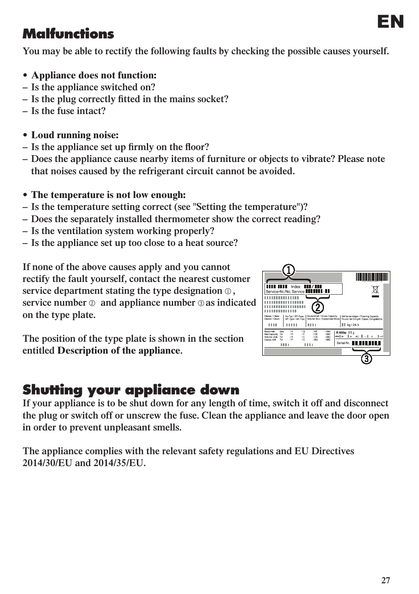# EN **Malfunctions**

**You may be able to rectify the following faults by checking the possible causes yourself.**

- **• Appliance does not function:**
- **– Is the appliance switched on?**
- **– Is the plug correctly fitted in the mains socket?**
- **– Is the fuse intact?**
- **• Loud running noise:**
- **– Is the appliance set up firmly on the floor?**
- **– Does the appliance cause nearby items of furniture or objects to vibrate? Please note that noises caused by the refrigerant circuit cannot be avoided.**
- **• The temperature is not low enough:**
- **– Is the temperature setting correct (see "Setting the temperature")?**
- **Does the separately installed thermometer show the correct reading?**
- **Is the ventilation system working properly?**
- **Is the appliance set up too close to a heat source?**

**If none of the above causes apply and you cannot rectify the fault yourself, contact the nearest customer**  service department stating the type designation  $\circledcirc$ , **service number**  $\circledcirc$  **and appliance number**  $\circledcirc$  **as indicated on the type plate.** 

**The position of the type plate is shown in the section entitled Description of the appliance.**

### **Shutting your appliance down**

**If your appliance is to be shut down for any length of time, switch it off and disconnect the plug or switch off or unscrew the fuse. Clean the appliance and leave the door open in order to prevent unpleasant smells.**

**The appliance complies with the relevant safety regulations and EU Directives 2014/30/EU and 2014/35/EU.**

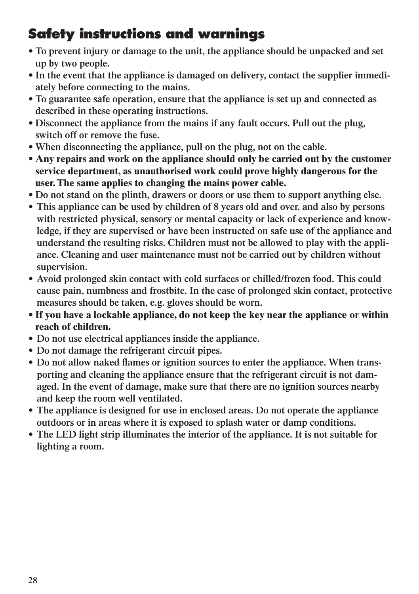### **Safety instructions and warnings**

- **• To prevent injury or damage to the unit, the appliance should be unpacked and set up by two people.**
- In the event that the appliance is damaged on delivery, contact the supplier immedi**ately before connecting to the mains.**
- **• To guarantee safe operation, ensure that the appliance is set up and connected as described in these operating instructions.**
- **• Disconnect the appliance from the mains if any fault occurs. Pull out the plug, switch off or remove the fuse.**
- **• When disconnecting the appliance, pull on the plug, not on the cable.**
- **• Any repairs and work on the appliance should only be carried out by the customer service department, as unauthorised work could prove highly dangerous for the user. The same applies to changing the mains power cable.**
- **• Do not stand on the plinth, drawers or doors or use them to support anything else.**
- **• This appliance can be used by children of 8 years old and over, and also by persons with restricted physical, sensory or mental capacity or lack of experience and knowledge, if they are supervised or have been instructed on safe use of the appliance and understand the resulting risks. Children must not be allowed to play with the appliance. Cleaning and user maintenance must not be carried out by children without supervision.**
- **• Avoid prolonged skin contact with cold surfaces or chilled/frozen food. This could cause pain, numbness and frostbite. In the case of prolonged skin contact, protective measures should be taken, e.g. gloves should be worn.**
- **• If you have a lockable appliance, do not keep the key near the appliance or within reach of children.**
- **• Do not use electrical appliances inside the appliance.**
- **• Do not damage the refrigerant circuit pipes.**
- **• Do not allow naked flames or ignition sources to enter the appliance. When transporting and cleaning the appliance ensure that the refrigerant circuit is not damaged. In the event of damage, make sure that there are no ignition sources nearby and keep the room well ventilated.**
- **• The appliance is designed for use in enclosed areas. Do not operate the appliance outdoors or in areas where it is exposed to splash water or damp conditions.**
- **• The LED light strip illuminates the interior of the appliance. It is not suitable for lighting a room.**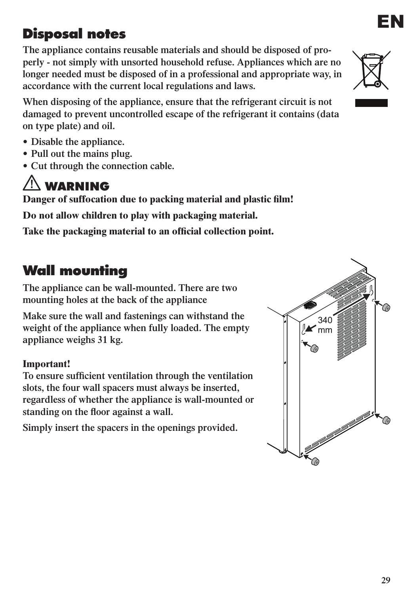**The appliance contains reusable materials and should be disposed of properly - not simply with unsorted household refuse. Appliances which are no longer needed must be disposed of in a professional and appropriate way, in accordance with the current local regulations and laws.** 

**When disposing of the appliance, ensure that the refrigerant circuit is not damaged to prevent uncontrolled escape of the refrigerant it contains (data on type plate) and oil.** 

- **• Disable the appliance.**
- **• Pull out the mains plug.**
- **• Cut through the connection cable.**

### **WARNING**

**Danger of suffocation due to packing material and plastic film!**

**Do not allow children to play with packaging material.** 

**Take the packaging material to an official collection point.**

### **Wall mounting**

**The appliance can be wall-mounted. There are two mounting holes at the back of the appliance** 

**Make sure the wall and fastenings can withstand the weight of the appliance when fully loaded. The empty appliance weighs 31 kg.**

#### **Important!**

**To ensure sufficient ventilation through the ventilation slots, the four wall spacers must always be inserted, regardless of whether the appliance is wall-mounted or standing on the floor against a wall.**

**Simply insert the spacers in the openings provided.**